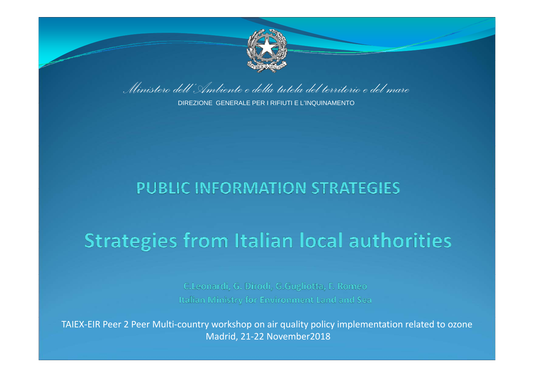

*Ministero dell'Ambiente e della tutela del territorio e del mare*

DIREZIONE GENERALE PER I RIFIUTI E L'INQUINAMENTO

#### **PUBLIC INFORMATION STRATEGIES**

# **Strategies from Italian local authorities**

C.Leonardi, G. Dirodi, G.Gugliotta, F. Romeo Italian Ministry for Environment Land and Sea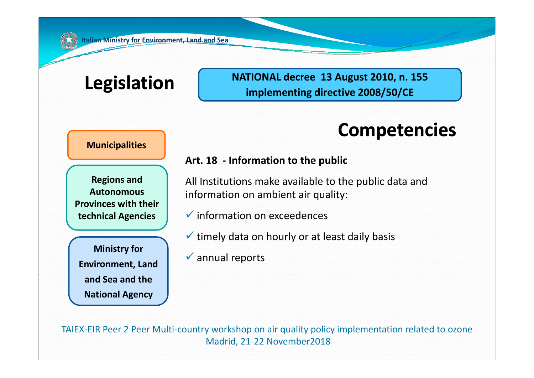# **Legislation NATIONAL decree <sup>13</sup> August 2010, n. <sup>155</sup> implementing directive 2008/50/CE**

### **Competencies**

#### **Municipalities**

**AAutonomousProvinces with theirtechnical Agencies**

**Annual reports**<br>**Environment, Land Environment, Land and Sea and the National Agency**

#### **Art. 18 ‐ Information to the public**

**Regions and** All Institutions make available to the public data and information on ambient air quality:

- $\checkmark$  information on exceedences
- $\checkmark$  timely data on hourly or at least daily basis
- $\checkmark$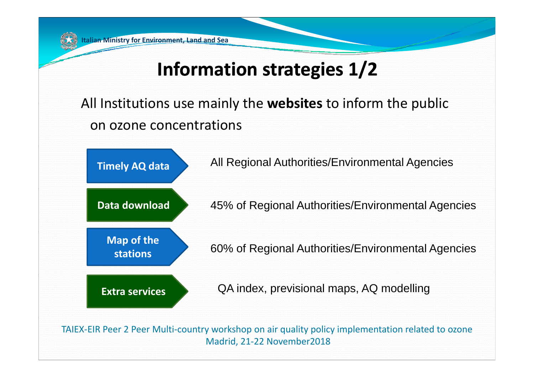# **Information strategies 1/2**

All Institutions use mainly the **websites** to inform the public on ozone concentrations

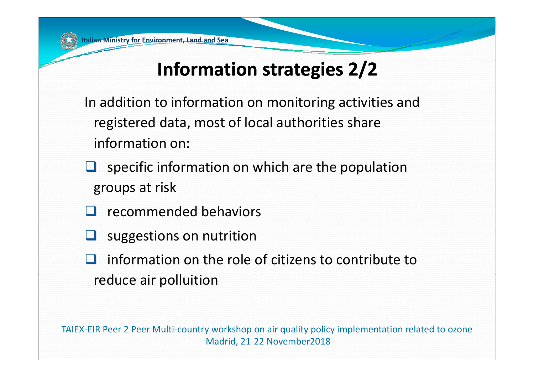# **Information strategies 2/2**

In addition to information on monitoring activities and registered data, most of local authorities share information on:

- $\Box$  specific information on which are the population groups at risk
- recommended behaviors
- **Bar** suggestions on nutrition
- information on the role of citizens to contribute to reduce air polluition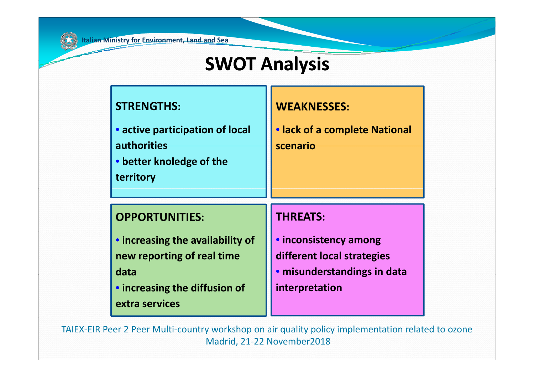## **SWOT** Analysis

#### **STRENGTHSSTRENGTHS:**

• **active participation of local authorities**

• **better knoledge of the territory**

#### **WEAKNESSES:**

• **lack of <sup>a</sup> complete National scenario**

#### **OPPORTUNITIES:**

- **increasing the availability of new reporting of real time data**
- **increasing the diffusion of extra services**

#### **THREATS:**

• **inconsistency among different local strategies** • **misunderstandings in data interpretation**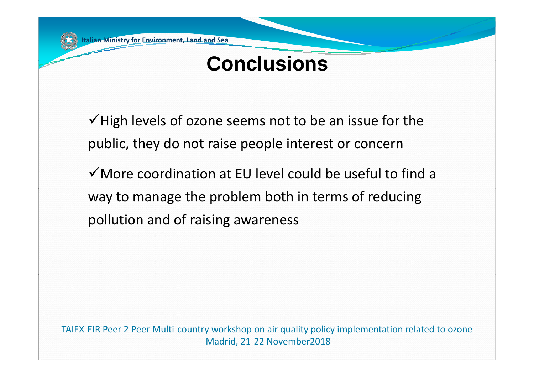# **Conclusions**

 $\checkmark$  High levels of ozone seems not to be an issue for the public, they do not raise people interest or concern

 $\checkmark$  More coordination at EU level could be useful to find a way to manage the problem both in terms of reducing pollution and of raising awareness